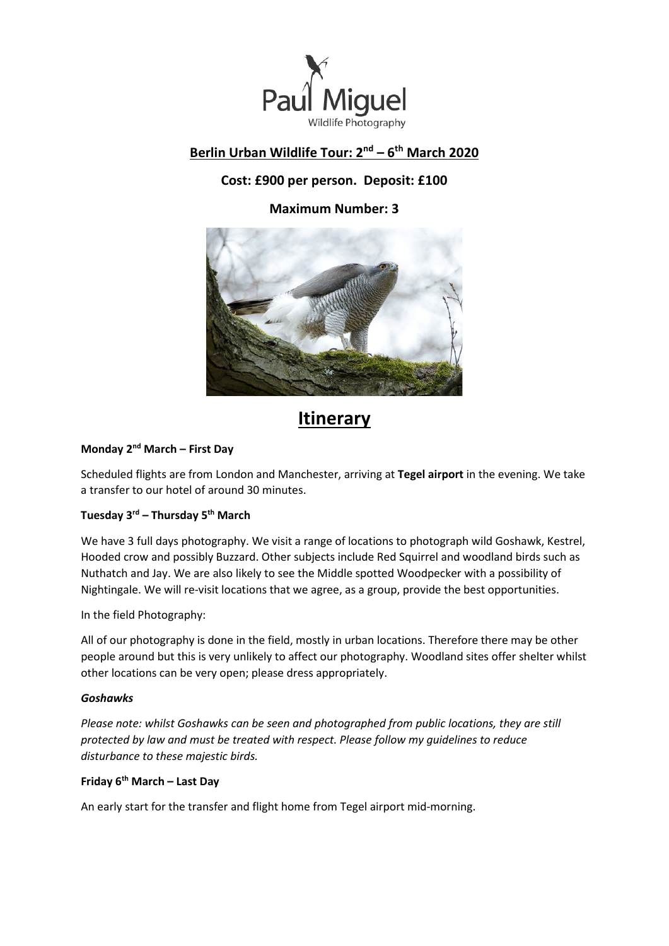

# **Berlin Urban Wildlife Tour: 2nd – 6th March 2020**

# **Cost: £900 per person. Deposit: £100**

**Maximum Number: 3**



# **Itinerary**

## **Monday 2nd March – First Day**

Scheduled flights are from London and Manchester, arriving at **Tegel airport** in the evening. We take a transfer to our hotel of around 30 minutes.

### **Tuesday 3rd – Thursday 5th March**

We have 3 full days photography. We visit a range of locations to photograph wild Goshawk, Kestrel, Hooded crow and possibly Buzzard. Other subjects include Red Squirrel and woodland birds such as Nuthatch and Jay. We are also likely to see the Middle spotted Woodpecker with a possibility of Nightingale. We will re-visit locations that we agree, as a group, provide the best opportunities.

In the field Photography:

All of our photography is done in the field, mostly in urban locations. Therefore there may be other people around but this is very unlikely to affect our photography. Woodland sites offer shelter whilst other locations can be very open; please dress appropriately.

### *Goshawks*

*Please note: whilst Goshawks can be seen and photographed from public locations, they are still protected by law and must be treated with respect. Please follow my guidelines to reduce disturbance to these majestic birds.*

## **Friday 6th March – Last Day**

An early start for the transfer and flight home from Tegel airport mid-morning.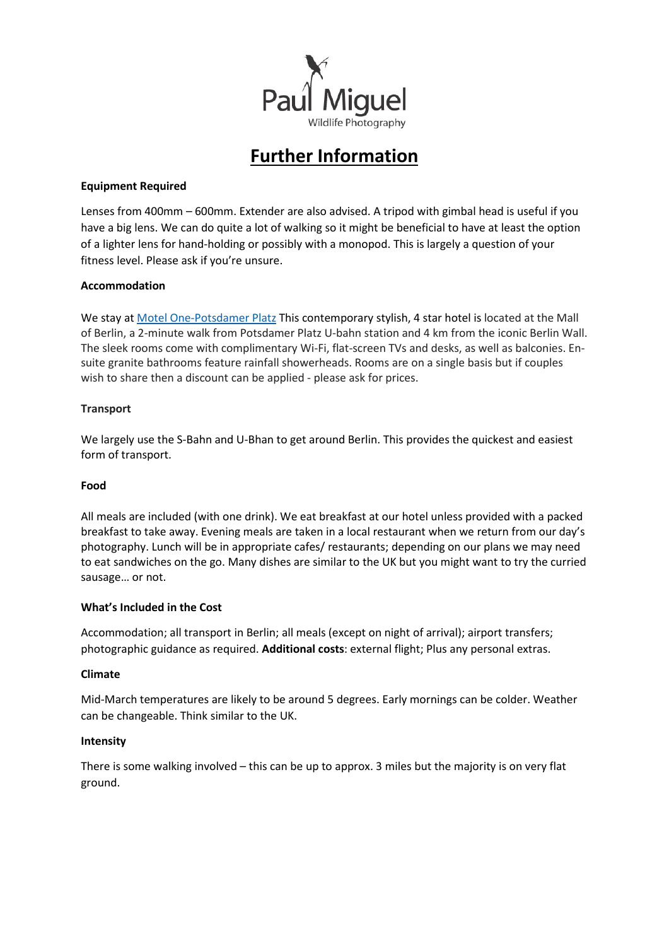

# **Further Information**

#### **Equipment Required**

Lenses from 400mm – 600mm. Extender are also advised. A tripod with gimbal head is useful if you have a big lens. We can do quite a lot of walking so it might be beneficial to have at least the option of a lighter lens for hand-holding or possibly with a monopod. This is largely a question of your fitness level. Please ask if you're unsure.

#### **Accommodation**

We stay at [Motel One-Potsdamer Platz](https://www.motel-one.com/en/hotels/berlin/hotel-berlin-potsdamer-platz/) This contemporary stylish, 4 star hotel is located at the Mall of Berlin, a 2-minute walk from Potsdamer Platz U-bahn station and 4 km from the iconic Berlin Wall. The sleek rooms come with complimentary Wi-Fi, flat-screen TVs and desks, as well as balconies. Ensuite granite bathrooms feature rainfall showerheads. Rooms are on a single basis but if couples wish to share then a discount can be applied - please ask for prices.

#### **Transport**

We largely use the S-Bahn and U-Bhan to get around Berlin. This provides the quickest and easiest form of transport.

#### **Food**

All meals are included (with one drink). We eat breakfast at our hotel unless provided with a packed breakfast to take away. Evening meals are taken in a local restaurant when we return from our day's photography. Lunch will be in appropriate cafes/ restaurants; depending on our plans we may need to eat sandwiches on the go. Many dishes are similar to the UK but you might want to try the curried sausage… or not.

#### **What's Included in the Cost**

Accommodation; all transport in Berlin; all meals (except on night of arrival); airport transfers; photographic guidance as required. **Additional costs**: external flight; Plus any personal extras.

#### **Climate**

Mid-March temperatures are likely to be around 5 degrees. Early mornings can be colder. Weather can be changeable. Think similar to the UK.

#### **Intensity**

There is some walking involved – this can be up to approx. 3 miles but the majority is on very flat ground.